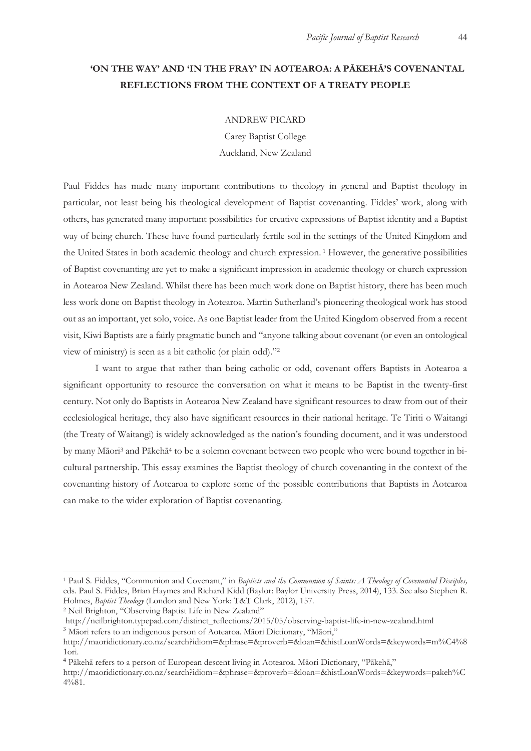# **'ON THE WAY' AND 'IN THE FRAY' IN AOTEAROA: A PĀKEHĀ'S COVENANTAL REFLECTIONS FROM THE CONTEXT OF A TREATY PEOPLE**

ANDREW PICARD

Carey Baptist College Auckland, New Zealand

Paul Fiddes has made many important contributions to theology in general and Baptist theology in particular, not least being his theological development of Baptist covenanting. Fiddes' work, along with others, has generated many important possibilities for creative expressions of Baptist identity and a Baptist way of being church. These have found particularly fertile soil in the settings of the United Kingdom and the United States in both academic theology and church expression. 1 However, the generative possibilities of Baptist covenanting are yet to make a significant impression in academic theology or church expression in Aotearoa New Zealand. Whilst there has been much work done on Baptist history, there has been much less work done on Baptist theology in Aotearoa. Martin Sutherland's pioneering theological work has stood out as an important, yet solo, voice. As one Baptist leader from the United Kingdom observed from a recent visit, Kiwi Baptists are a fairly pragmatic bunch and "anyone talking about covenant (or even an ontological view of ministry) is seen as a bit catholic (or plain odd)."2

I want to argue that rather than being catholic or odd, covenant offers Baptists in Aotearoa a significant opportunity to resource the conversation on what it means to be Baptist in the twenty-first century. Not only do Baptists in Aotearoa New Zealand have significant resources to draw from out of their ecclesiological heritage, they also have significant resources in their national heritage. Te Tiriti o Waitangi (the Treaty of Waitangi) is widely acknowledged as the nation's founding document, and it was understood by many Māori3 and Pākehā4 to be a solemn covenant between two people who were bound together in bicultural partnership. This essay examines the Baptist theology of church covenanting in the context of the covenanting history of Aotearoa to explore some of the possible contributions that Baptists in Aotearoa can make to the wider exploration of Baptist covenanting.

<sup>1</sup> Paul S. Fiddes, "Communion and Covenant," in *Baptists and the Communion of Saints: A Theology of Covenanted Disciples,*  eds. Paul S. Fiddes, Brian Haymes and Richard Kidd (Baylor: Baylor University Press, 2014), 133. See also Stephen R. Holmes, *Baptist Theology* (London and New York: T&T Clark, 2012), 157. 2 Neil Brighton, "Observing Baptist Life in New Zealand"

http://neilbrighton.typepad.com/distinct\_reflections/2015/05/observing-baptist-life-in-new-zealand.html <sup>3</sup> Māori refers to an indigenous person of Aotearoa. Māori Dictionary, "Māori,"

http://maoridictionary.co.nz/search?idiom=&phrase=&proverb=&loan=&histLoanWords=&keywords=m%C4%8 1ori.

<sup>4</sup> Pākehā refers to a person of European descent living in Aotearoa. Māori Dictionary, "Pākehā,"

http://maoridictionary.co.nz/search?idiom=&phrase=&proverb=&loan=&histLoanWords=&keywords=pakeh%C 4%81.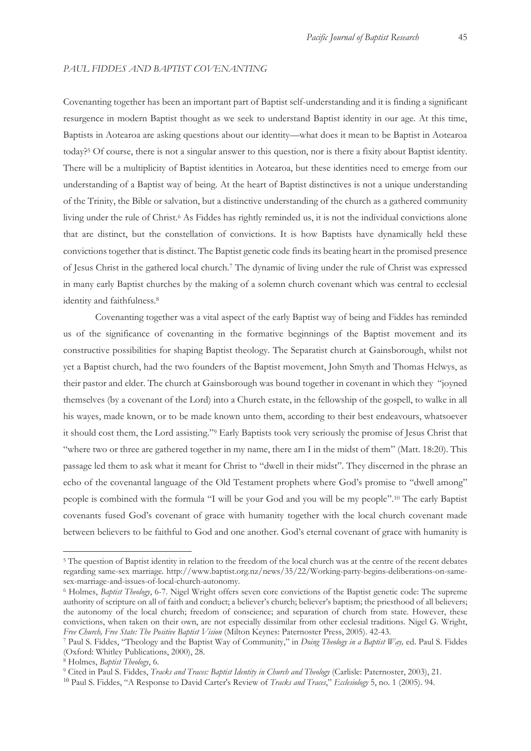#### *PAUL FIDDES AND BAPTIST COVENANTING*

Covenanting together has been an important part of Baptist self-understanding and it is finding a significant resurgence in modern Baptist thought as we seek to understand Baptist identity in our age. At this time, Baptists in Aotearoa are asking questions about our identity—what does it mean to be Baptist in Aotearoa today?5 Of course, there is not a singular answer to this question, nor is there a fixity about Baptist identity. There will be a multiplicity of Baptist identities in Aotearoa, but these identities need to emerge from our understanding of a Baptist way of being. At the heart of Baptist distinctives is not a unique understanding of the Trinity, the Bible or salvation, but a distinctive understanding of the church as a gathered community living under the rule of Christ.<sup>6</sup> As Fiddes has rightly reminded us, it is not the individual convictions alone that are distinct, but the constellation of convictions. It is how Baptists have dynamically held these convictions together that is distinct. The Baptist genetic code finds its beating heart in the promised presence of Jesus Christ in the gathered local church.7 The dynamic of living under the rule of Christ was expressed in many early Baptist churches by the making of a solemn church covenant which was central to ecclesial identity and faithfulness.8

Covenanting together was a vital aspect of the early Baptist way of being and Fiddes has reminded us of the significance of covenanting in the formative beginnings of the Baptist movement and its constructive possibilities for shaping Baptist theology. The Separatist church at Gainsborough, whilst not yet a Baptist church, had the two founders of the Baptist movement, John Smyth and Thomas Helwys, as their pastor and elder. The church at Gainsborough was bound together in covenant in which they "joyned themselves (by a covenant of the Lord) into a Church estate, in the fellowship of the gospell, to walke in all his wayes, made known, or to be made known unto them, according to their best endeavours, whatsoever it should cost them, the Lord assisting."9 Early Baptists took very seriously the promise of Jesus Christ that "where two or three are gathered together in my name, there am I in the midst of them" (Matt. 18:20). This passage led them to ask what it meant for Christ to "dwell in their midst". They discerned in the phrase an echo of the covenantal language of the Old Testament prophets where God's promise to "dwell among" people is combined with the formula "I will be your God and you will be my people".10 The early Baptist covenants fused God's covenant of grace with humanity together with the local church covenant made between believers to be faithful to God and one another. God's eternal covenant of grace with humanity is

<sup>5</sup> The question of Baptist identity in relation to the freedom of the local church was at the centre of the recent debates regarding same-sex marriage. http://www.baptist.org.nz/news/35/22/Working-party-begins-deliberations-on-samesex-marriage-and-issues-of-local-church-autonomy.

<sup>6</sup> Holmes, *Baptist Theology*, 6-7. Nigel Wright offers seven core convictions of the Baptist genetic code: The supreme authority of scripture on all of faith and conduct; a believer's church; believer's baptism; the priesthood of all believers; the autonomy of the local church; freedom of conscience; and separation of church from state. However, these convictions, when taken on their own, are not especially dissimilar from other ecclesial traditions. Nigel G. Wright, Free Church, Free State: The Positive Baptist Vision (Milton Keynes: Paternoster Press, 2005). 42-43.

<sup>7</sup> Paul S. Fiddes, "Theology and the Baptist Way of Community," in Doing Theology in a Baptist Way, ed. Paul S. Fiddes (Oxford: Whitley Publications, 2000), 28.

<sup>&</sup>lt;sup>8</sup> Holmes, *Baptist Theology*, 6.<br><sup>9</sup> Cited in Paul S. Fiddes, *Tracks and Traces: Baptist Identity in Church and Theology* (Carlisle: Paternoster, 2003), 21.

<sup>10</sup> Paul S. Fiddes, "A Response to David Carter's Review of *Tracks and Traces*," *Ecclesiology* 5, no. 1 (2005). 94.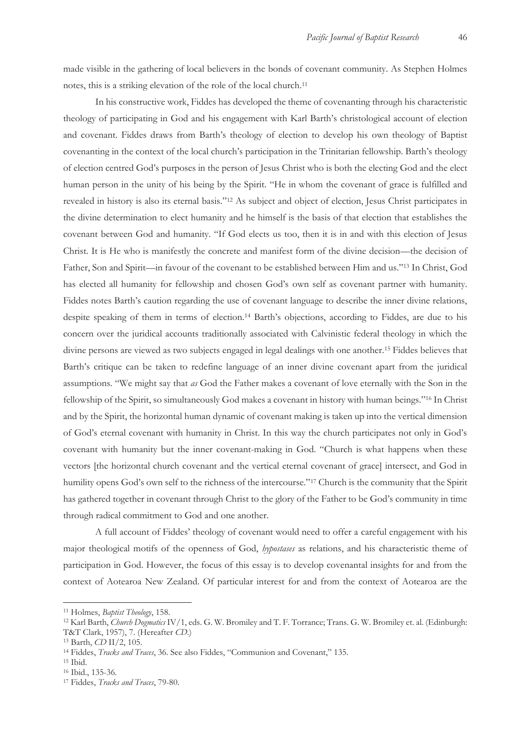made visible in the gathering of local believers in the bonds of covenant community. As Stephen Holmes notes, this is a striking elevation of the role of the local church.11

In his constructive work, Fiddes has developed the theme of covenanting through his characteristic theology of participating in God and his engagement with Karl Barth's christological account of election and covenant. Fiddes draws from Barth's theology of election to develop his own theology of Baptist covenanting in the context of the local church's participation in the Trinitarian fellowship. Barth's theology of election centred God's purposes in the person of Jesus Christ who is both the electing God and the elect human person in the unity of his being by the Spirit. "He in whom the covenant of grace is fulfilled and revealed in history is also its eternal basis."12 As subject and object of election, Jesus Christ participates in the divine determination to elect humanity and he himself is the basis of that election that establishes the covenant between God and humanity. "If God elects us too, then it is in and with this election of Jesus Christ. It is He who is manifestly the concrete and manifest form of the divine decision—the decision of Father, Son and Spirit—in favour of the covenant to be established between Him and us."13 In Christ, God has elected all humanity for fellowship and chosen God's own self as covenant partner with humanity. Fiddes notes Barth's caution regarding the use of covenant language to describe the inner divine relations, despite speaking of them in terms of election.14 Barth's objections, according to Fiddes, are due to his concern over the juridical accounts traditionally associated with Calvinistic federal theology in which the divine persons are viewed as two subjects engaged in legal dealings with one another.15 Fiddes believes that Barth's critique can be taken to redefine language of an inner divine covenant apart from the juridical assumptions. "We might say that *as* God the Father makes a covenant of love eternally with the Son in the fellowship of the Spirit, so simultaneously God makes a covenant in history with human beings."16 In Christ and by the Spirit, the horizontal human dynamic of covenant making is taken up into the vertical dimension of God's eternal covenant with humanity in Christ. In this way the church participates not only in God's covenant with humanity but the inner covenant-making in God. "Church is what happens when these vectors [the horizontal church covenant and the vertical eternal covenant of grace] intersect, and God in humility opens God's own self to the richness of the intercourse."<sup>17</sup> Church is the community that the Spirit has gathered together in covenant through Christ to the glory of the Father to be God's community in time through radical commitment to God and one another.

A full account of Fiddes' theology of covenant would need to offer a careful engagement with his major theological motifs of the openness of God, *hypostases* as relations, and his characteristic theme of participation in God. However, the focus of this essay is to develop covenantal insights for and from the context of Aotearoa New Zealand. Of particular interest for and from the context of Aotearoa are the

<sup>&</sup>lt;sup>11</sup> Holmes, *Baptist Theology*, 158.<br><sup>12</sup> Karl Barth, *Church Dogmatics* IV/1, eds. G. W. Bromiley and T. F. Torrance; Trans. G. W. Bromiley et. al. (Edinburgh: T&T Clark, 1957), 7. (Hereafter *CD*.)<br><sup>13</sup> Barth, *CD* II/2, 105.<br><sup>14</sup> Fiddes, *Tracks and Traces*, 36. See also Fiddes, "Communion and Covenant," 135.<br><sup>15</sup> Ibid.

<sup>16</sup> Ibid., 135-36.

<sup>17</sup> Fiddes, *Tracks and Traces*, 79-80.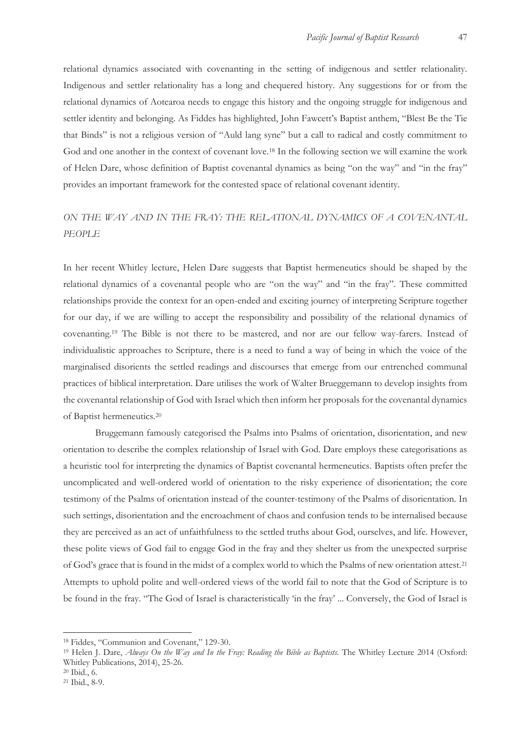relational dynamics associated with covenanting in the setting of indigenous and settler relationality. Indigenous and settler relationality has a long and chequered history. Any suggestions for or from the relational dynamics of Aotearoa needs to engage this history and the ongoing struggle for indigenous and settler identity and belonging. As Fiddes has highlighted, John Fawcett's Baptist anthem, "Blest Be the Tie that Binds" is not a religious version of "Auld lang syne" but a call to radical and costly commitment to God and one another in the context of covenant love.<sup>18</sup> In the following section we will examine the work of Helen Dare, whose definition of Baptist covenantal dynamics as being "on the way" and "in the fray" provides an important framework for the contested space of relational covenant identity.

## *ON THE WAY AND IN THE FRAY: THE RELATIONAL DYNAMICS OF A COVENANTAL PEOPLE*

In her recent Whitley lecture, Helen Dare suggests that Baptist hermeneutics should be shaped by the relational dynamics of a covenantal people who are "on the way" and "in the fray". These committed relationships provide the context for an open-ended and exciting journey of interpreting Scripture together for our day, if we are willing to accept the responsibility and possibility of the relational dynamics of covenanting.19 The Bible is not there to be mastered, and nor are our fellow way-farers. Instead of individualistic approaches to Scripture, there is a need to fund a way of being in which the voice of the marginalised disorients the settled readings and discourses that emerge from our entrenched communal practices of biblical interpretation. Dare utilises the work of Walter Brueggemann to develop insights from the covenantal relationship of God with Israel which then inform her proposals for the covenantal dynamics of Baptist hermeneutics.20

Bruggemann famously categorised the Psalms into Psalms of orientation, disorientation, and new orientation to describe the complex relationship of Israel with God. Dare employs these categorisations as a heuristic tool for interpreting the dynamics of Baptist covenantal hermeneutics. Baptists often prefer the uncomplicated and well-ordered world of orientation to the risky experience of disorientation; the core testimony of the Psalms of orientation instead of the counter-testimony of the Psalms of disorientation. In such settings, disorientation and the encroachment of chaos and confusion tends to be internalised because they are perceived as an act of unfaithfulness to the settled truths about God, ourselves, and life. However, these polite views of God fail to engage God in the fray and they shelter us from the unexpected surprise of God's grace that is found in the midst of a complex world to which the Psalms of new orientation attest.21 Attempts to uphold polite and well-ordered views of the world fail to note that the God of Scripture is to be found in the fray. "The God of Israel is characteristically 'in the fray' ... Conversely, the God of Israel is

<sup>18</sup> Fiddes, "Communion and Covenant," 129-30.

<sup>&</sup>lt;sup>19</sup> Helen J. Dare, *Always On the Way and In the Fray: Reading the Bible as Baptists*. The Whitley Lecture 2014 (Oxford: Whitley Publications, 2014), 25-26.

<sup>20</sup> Ibid., 6.

<sup>21</sup> Ibid., 8-9.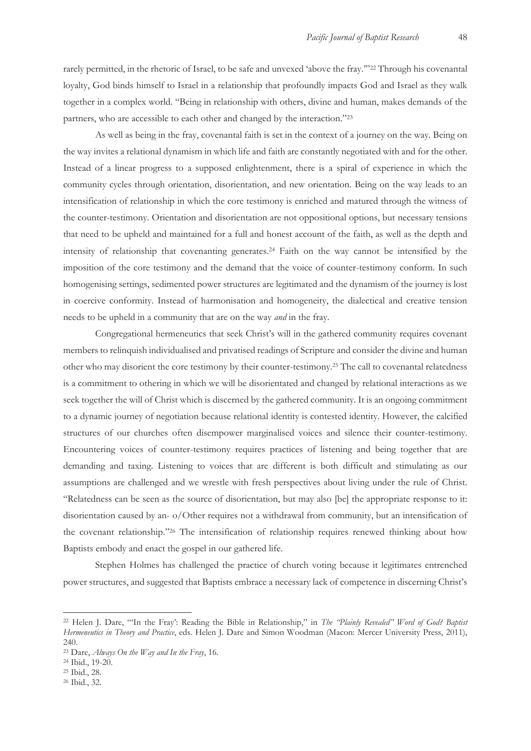rarely permitted, in the rhetoric of Israel, to be safe and unvexed 'above the fray.'"22 Through his covenantal loyalty, God binds himself to Israel in a relationship that profoundly impacts God and Israel as they walk together in a complex world. "Being in relationship with others, divine and human, makes demands of the partners, who are accessible to each other and changed by the interaction."23

As well as being in the fray, covenantal faith is set in the context of a journey on the way. Being on the way invites a relational dynamism in which life and faith are constantly negotiated with and for the other. Instead of a linear progress to a supposed enlightenment, there is a spiral of experience in which the community cycles through orientation, disorientation, and new orientation. Being on the way leads to an intensification of relationship in which the core testimony is enriched and matured through the witness of the counter-testimony. Orientation and disorientation are not oppositional options, but necessary tensions that need to be upheld and maintained for a full and honest account of the faith, as well as the depth and intensity of relationship that covenanting generates.24 Faith on the way cannot be intensified by the imposition of the core testimony and the demand that the voice of counter-testimony conform. In such homogenising settings, sedimented power structures are legitimated and the dynamism of the journey is lost in coercive conformity. Instead of harmonisation and homogeneity, the dialectical and creative tension needs to be upheld in a community that are on the way *and* in the fray.

Congregational hermeneutics that seek Christ's will in the gathered community requires covenant members to relinquish individualised and privatised readings of Scripture and consider the divine and human other who may disorient the core testimony by their counter-testimony.25 The call to covenantal relatedness is a commitment to othering in which we will be disorientated and changed by relational interactions as we seek together the will of Christ which is discerned by the gathered community. It is an ongoing commitment to a dynamic journey of negotiation because relational identity is contested identity. However, the calcified structures of our churches often disempower marginalised voices and silence their counter-testimony. Encountering voices of counter-testimony requires practices of listening and being together that are demanding and taxing. Listening to voices that are different is both difficult and stimulating as our assumptions are challenged and we wrestle with fresh perspectives about living under the rule of Christ. "Relatedness can be seen as the source of disorientation, but may also [be] the appropriate response to it: disorientation caused by an- o/Other requires not a withdrawal from community, but an intensification of the covenant relationship."26 The intensification of relationship requires renewed thinking about how Baptists embody and enact the gospel in our gathered life.

Stephen Holmes has challenged the practice of church voting because it legitimates entrenched power structures, and suggested that Baptists embrace a necessary lack of competence in discerning Christ's

<sup>22</sup> Helen J. Dare, "'In the Fray': Reading the Bible in Relationship," in *The "Plainly Revealed" Word of God? Baptist Hermeneutics in Theory and Practice*, eds. Helen J. Dare and Simon Woodman (Macon: Mercer University Press, 2011), 240.

<sup>23</sup> Dare, *Always On the Way and In the Fray*, 16. 24 Ibid., 19-20.

<sup>25</sup> Ibid., 28.

<sup>26</sup> Ibid., 32.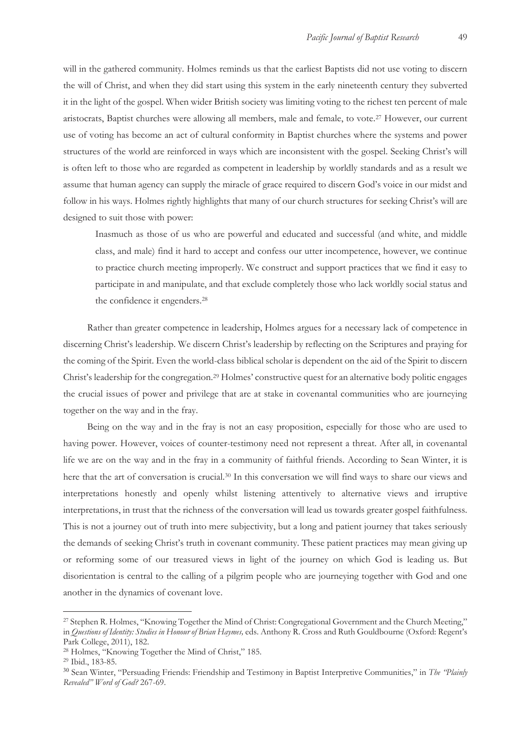will in the gathered community. Holmes reminds us that the earliest Baptists did not use voting to discern the will of Christ, and when they did start using this system in the early nineteenth century they subverted it in the light of the gospel. When wider British society was limiting voting to the richest ten percent of male aristocrats, Baptist churches were allowing all members, male and female, to vote.27 However, our current use of voting has become an act of cultural conformity in Baptist churches where the systems and power structures of the world are reinforced in ways which are inconsistent with the gospel. Seeking Christ's will is often left to those who are regarded as competent in leadership by worldly standards and as a result we assume that human agency can supply the miracle of grace required to discern God's voice in our midst and follow in his ways. Holmes rightly highlights that many of our church structures for seeking Christ's will are designed to suit those with power:

Inasmuch as those of us who are powerful and educated and successful (and white, and middle class, and male) find it hard to accept and confess our utter incompetence, however, we continue to practice church meeting improperly. We construct and support practices that we find it easy to participate in and manipulate, and that exclude completely those who lack worldly social status and the confidence it engenders.28

Rather than greater competence in leadership, Holmes argues for a necessary lack of competence in discerning Christ's leadership. We discern Christ's leadership by reflecting on the Scriptures and praying for the coming of the Spirit. Even the world-class biblical scholar is dependent on the aid of the Spirit to discern Christ's leadership for the congregation.29 Holmes' constructive quest for an alternative body politic engages the crucial issues of power and privilege that are at stake in covenantal communities who are journeying together on the way and in the fray.

Being on the way and in the fray is not an easy proposition, especially for those who are used to having power. However, voices of counter-testimony need not represent a threat. After all, in covenantal life we are on the way and in the fray in a community of faithful friends. According to Sean Winter, it is here that the art of conversation is crucial.30 In this conversation we will find ways to share our views and interpretations honestly and openly whilst listening attentively to alternative views and irruptive interpretations, in trust that the richness of the conversation will lead us towards greater gospel faithfulness. This is not a journey out of truth into mere subjectivity, but a long and patient journey that takes seriously the demands of seeking Christ's truth in covenant community. These patient practices may mean giving up or reforming some of our treasured views in light of the journey on which God is leading us. But disorientation is central to the calling of a pilgrim people who are journeying together with God and one another in the dynamics of covenant love.

<sup>27</sup> Stephen R. Holmes, "Knowing Together the Mind of Christ: Congregational Government and the Church Meeting," in *Questions of Identity: Studies in Honour of Brian Haymes,* eds. Anthony R. Cross and Ruth Gouldbourne (Oxford: Regent's Park College, 2011), 182.

<sup>28</sup> Holmes, "Knowing Together the Mind of Christ," 185. 29 Ibid., 183-85.

<sup>30</sup> Sean Winter, "Persuading Friends: Friendship and Testimony in Baptist Interpretive Communities," in *The "Plainly Revealed" Word of God?* 267-69.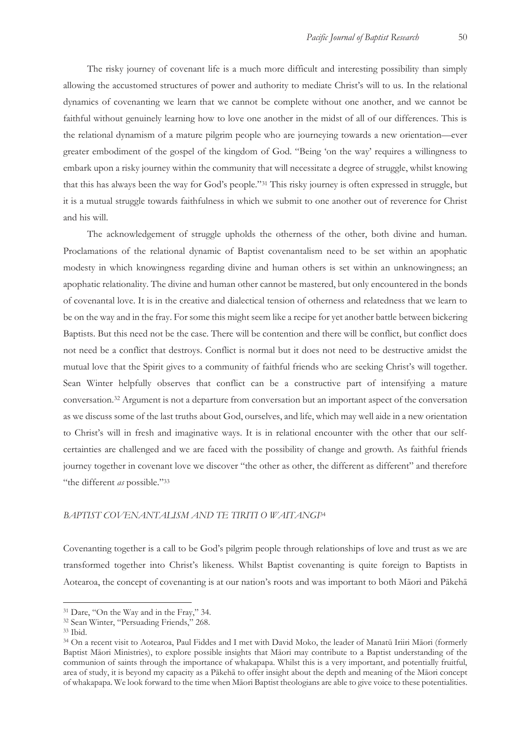The risky journey of covenant life is a much more difficult and interesting possibility than simply allowing the accustomed structures of power and authority to mediate Christ's will to us. In the relational dynamics of covenanting we learn that we cannot be complete without one another, and we cannot be faithful without genuinely learning how to love one another in the midst of all of our differences. This is the relational dynamism of a mature pilgrim people who are journeying towards a new orientation—ever greater embodiment of the gospel of the kingdom of God. "Being 'on the way' requires a willingness to embark upon a risky journey within the community that will necessitate a degree of struggle, whilst knowing that this has always been the way for God's people."31 This risky journey is often expressed in struggle, but it is a mutual struggle towards faithfulness in which we submit to one another out of reverence for Christ and his will.

The acknowledgement of struggle upholds the otherness of the other, both divine and human. Proclamations of the relational dynamic of Baptist covenantalism need to be set within an apophatic modesty in which knowingness regarding divine and human others is set within an unknowingness; an apophatic relationality. The divine and human other cannot be mastered, but only encountered in the bonds of covenantal love. It is in the creative and dialectical tension of otherness and relatedness that we learn to be on the way and in the fray. For some this might seem like a recipe for yet another battle between bickering Baptists. But this need not be the case. There will be contention and there will be conflict, but conflict does not need be a conflict that destroys. Conflict is normal but it does not need to be destructive amidst the mutual love that the Spirit gives to a community of faithful friends who are seeking Christ's will together. Sean Winter helpfully observes that conflict can be a constructive part of intensifying a mature conversation.32 Argument is not a departure from conversation but an important aspect of the conversation as we discuss some of the last truths about God, ourselves, and life, which may well aide in a new orientation to Christ's will in fresh and imaginative ways. It is in relational encounter with the other that our selfcertainties are challenged and we are faced with the possibility of change and growth. As faithful friends journey together in covenant love we discover "the other as other, the different as different" and therefore "the different *as* possible."33

## *BAPTIST COVENANTALISM AND TE TIRITI O WAITANGI*<sup>34</sup>

Covenanting together is a call to be God's pilgrim people through relationships of love and trust as we are transformed together into Christ's likeness. Whilst Baptist covenanting is quite foreign to Baptists in Aotearoa, the concept of covenanting is at our nation's roots and was important to both Māori and Pākehā

<sup>31</sup> Dare, "On the Way and in the Fray," 34.

<sup>32</sup> Sean Winter, "Persuading Friends," 268. 33 Ibid.

<sup>34</sup> On a recent visit to Aotearoa, Paul Fiddes and I met with David Moko, the leader of Manatū Iriiri Māori (formerly Baptist Māori Ministries), to explore possible insights that Māori may contribute to a Baptist understanding of the communion of saints through the importance of whakapapa. Whilst this is a very important, and potentially fruitful, area of study, it is beyond my capacity as a Pākehā to offer insight about the depth and meaning of the Māori concept of whakapapa. We look forward to the time when Māori Baptist theologians are able to give voice to these potentialities.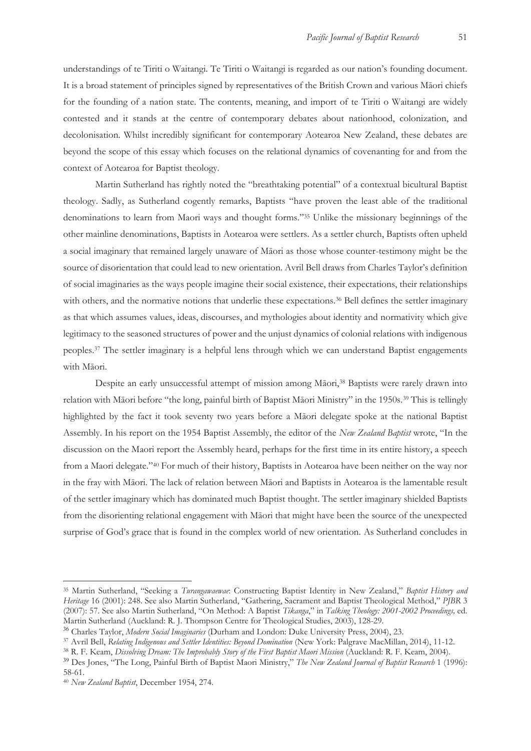understandings of te Tiriti o Waitangi. Te Tiriti o Waitangi is regarded as our nation's founding document. It is a broad statement of principles signed by representatives of the British Crown and various Māori chiefs for the founding of a nation state. The contents, meaning, and import of te Tiriti o Waitangi are widely contested and it stands at the centre of contemporary debates about nationhood, colonization, and decolonisation. Whilst incredibly significant for contemporary Aotearoa New Zealand, these debates are beyond the scope of this essay which focuses on the relational dynamics of covenanting for and from the context of Aotearoa for Baptist theology.

Martin Sutherland has rightly noted the "breathtaking potential" of a contextual bicultural Baptist theology. Sadly, as Sutherland cogently remarks, Baptists "have proven the least able of the traditional denominations to learn from Maori ways and thought forms."35 Unlike the missionary beginnings of the other mainline denominations, Baptists in Aotearoa were settlers. As a settler church, Baptists often upheld a social imaginary that remained largely unaware of Māori as those whose counter-testimony might be the source of disorientation that could lead to new orientation. Avril Bell draws from Charles Taylor's definition of social imaginaries as the ways people imagine their social existence, their expectations, their relationships with others, and the normative notions that underlie these expectations.<sup>36</sup> Bell defines the settler imaginary as that which assumes values, ideas, discourses, and mythologies about identity and normativity which give legitimacy to the seasoned structures of power and the unjust dynamics of colonial relations with indigenous peoples.37 The settler imaginary is a helpful lens through which we can understand Baptist engagements with Māori.

Despite an early unsuccessful attempt of mission among Māori,<sup>38</sup> Baptists were rarely drawn into relation with Māori before "the long, painful birth of Baptist Māori Ministry" in the 1950s.39 This is tellingly highlighted by the fact it took seventy two years before a Māori delegate spoke at the national Baptist Assembly. In his report on the 1954 Baptist Assembly, the editor of the *New Zealand Baptist* wrote, "In the discussion on the Maori report the Assembly heard, perhaps for the first time in its entire history, a speech from a Maori delegate."40 For much of their history, Baptists in Aotearoa have been neither on the way nor in the fray with Māori. The lack of relation between Māori and Baptists in Aotearoa is the lamentable result of the settler imaginary which has dominated much Baptist thought. The settler imaginary shielded Baptists from the disorienting relational engagement with Māori that might have been the source of the unexpected surprise of God's grace that is found in the complex world of new orientation. As Sutherland concludes in

<sup>35</sup> Martin Sutherland, "Seeking a *Turangawaewae*: Constructing Baptist Identity in New Zealand," *Baptist History and Heritage* 16 (2001): 248. See also Martin Sutherland, "Gathering, Sacrament and Baptist Theological Method," *PJBR* 3 (2007): 57. See also Martin Sutherland, "On Method: A Baptist *Tikanga*," in *Talking Theology: 2001-2002 Proceedings,* ed. Martin Sutherland (Auckland: R. J. Thompson Centre for Theological Studies, 2003), 128-29.

<sup>&</sup>lt;sup>36</sup> Charles Taylor, *Modern Social Imaginaries* (Durham and London: Duke University Press, 2004), 23.<br><sup>37</sup> Avril Bell, *Relating Indigenous and Settler Identities: Beyond Domination* (New York: Palgrave MacMillan, 2014),

<sup>39</sup> Des Jones, "The Long, Painful Birth of Baptist Maori Ministry," *The New Zealand Journal of Baptist Research* 1 (1996): 58-61.

<sup>40</sup> *New Zealand Baptist*, December 1954, 274.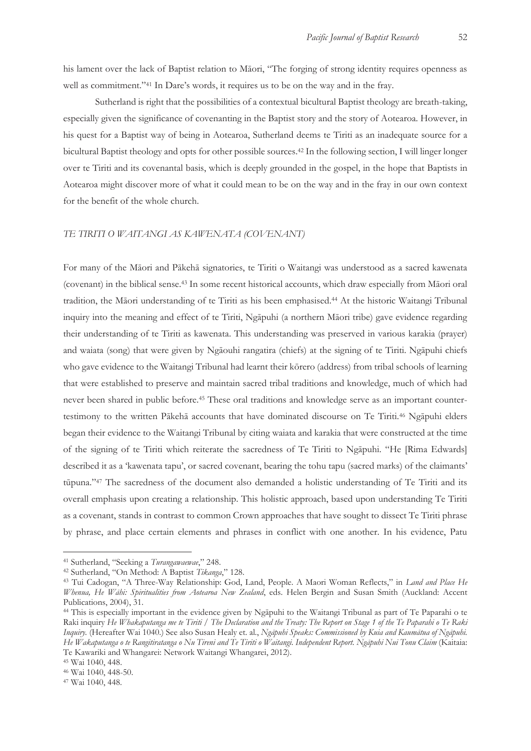his lament over the lack of Baptist relation to Māori, "The forging of strong identity requires openness as well as commitment."41 In Dare's words, it requires us to be on the way and in the fray.

Sutherland is right that the possibilities of a contextual bicultural Baptist theology are breath-taking, especially given the significance of covenanting in the Baptist story and the story of Aotearoa. However, in his quest for a Baptist way of being in Aotearoa, Sutherland deems te Tiriti as an inadequate source for a bicultural Baptist theology and opts for other possible sources.42 In the following section, I will linger longer over te Tiriti and its covenantal basis, which is deeply grounded in the gospel, in the hope that Baptists in Aotearoa might discover more of what it could mean to be on the way and in the fray in our own context for the benefit of the whole church.

## *TE TIRITI O WAITANGI AS KAWENATA (COVENANT)*

For many of the Māori and Pākehā signatories, te Tiriti o Waitangi was understood as a sacred kawenata (covenant) in the biblical sense.43 In some recent historical accounts, which draw especially from Māori oral tradition, the Māori understanding of te Tiriti as his been emphasised.44 At the historic Waitangi Tribunal inquiry into the meaning and effect of te Tiriti, Ngāpuhi (a northern Māori tribe) gave evidence regarding their understanding of te Tiriti as kawenata. This understanding was preserved in various karakia (prayer) and waiata (song) that were given by Ngāouhi rangatira (chiefs) at the signing of te Tiriti. Ngāpuhi chiefs who gave evidence to the Waitangi Tribunal had learnt their kōrero (address) from tribal schools of learning that were established to preserve and maintain sacred tribal traditions and knowledge, much of which had never been shared in public before.45 These oral traditions and knowledge serve as an important countertestimony to the written Pākehā accounts that have dominated discourse on Te Tiriti.46 Ngāpuhi elders began their evidence to the Waitangi Tribunal by citing waiata and karakia that were constructed at the time of the signing of te Tiriti which reiterate the sacredness of Te Tiriti to Ngāpuhi. "He [Rima Edwards] described it as a 'kawenata tapu', or sacred covenant, bearing the tohu tapu (sacred marks) of the claimants' tūpuna."47 The sacredness of the document also demanded a holistic understanding of Te Tiriti and its overall emphasis upon creating a relationship. This holistic approach, based upon understanding Te Tiriti as a covenant, stands in contrast to common Crown approaches that have sought to dissect Te Tiriti phrase by phrase, and place certain elements and phrases in conflict with one another. In his evidence, Patu

<sup>&</sup>lt;sup>41</sup> Sutherland, "Seeking a *Turangawaewae,*" 248.<br><sup>42</sup> Sutherland, "On Method: A Baptist *Tikanga,*" 128.<br><sup>43</sup> Tui Cadogan, "A Three-Way Relationship: God, Land, People. A Maori Woman Reflects," in *Land and Place He Whenua, He Wāhi: Spiritualities from Aotearoa New Zealand*, eds. Helen Bergin and Susan Smith (Auckland: Accent Publications, 2004), 31.

<sup>44</sup> This is especially important in the evidence given by Ngāpuhi to the Waitangi Tribunal as part of Te Paparahi o te Raki inquiry *He Whakaputanga me te Tiriti / The Declaration and the Treaty: The Report on Stage 1 of the Te Paparahi o Te Raki Inquiry.* (Hereafter Wai 1040.) See also Susan Healy et. al., *Ngāpuhi Speaks: Commissioned by Kuia and Kaumātua of Ngāpuhi. He Wakaputanga o te Rangitiratanga o Nu Tireni and Te Tiriti o Waitangi. Independent Report. Ngāpuhi Nui Tonu Claim* (Kaitaia: Te Kawariki and Whangarei: Network Waitangi Whangarei, 2012). 45 Wai 1040, 448.

<sup>46</sup> Wai 1040, 448-50.

<sup>47</sup> Wai 1040, 448.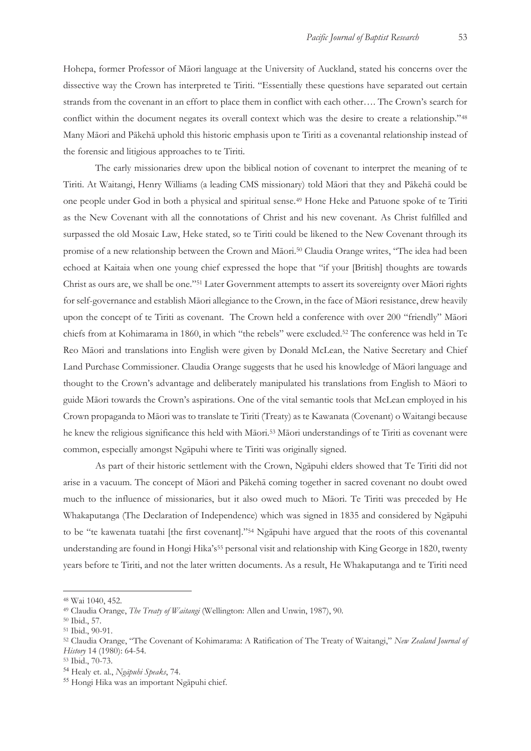Hohepa, former Professor of Māori language at the University of Auckland, stated his concerns over the dissective way the Crown has interpreted te Tiriti. "Essentially these questions have separated out certain strands from the covenant in an effort to place them in conflict with each other…. The Crown's search for conflict within the document negates its overall context which was the desire to create a relationship."48 Many Māori and Pākehā uphold this historic emphasis upon te Tiriti as a covenantal relationship instead of the forensic and litigious approaches to te Tiriti.

The early missionaries drew upon the biblical notion of covenant to interpret the meaning of te Tiriti. At Waitangi, Henry Williams (a leading CMS missionary) told Māori that they and Pākehā could be one people under God in both a physical and spiritual sense.49 Hone Heke and Patuone spoke of te Tiriti as the New Covenant with all the connotations of Christ and his new covenant. As Christ fulfilled and surpassed the old Mosaic Law, Heke stated, so te Tiriti could be likened to the New Covenant through its promise of a new relationship between the Crown and Māori.50 Claudia Orange writes, "The idea had been echoed at Kaitaia when one young chief expressed the hope that "if your [British] thoughts are towards Christ as ours are, we shall be one."51 Later Government attempts to assert its sovereignty over Māori rights for self-governance and establish Māori allegiance to the Crown, in the face of Māori resistance, drew heavily upon the concept of te Tiriti as covenant. The Crown held a conference with over 200 "friendly" Māori chiefs from at Kohimarama in 1860, in which "the rebels" were excluded.52 The conference was held in Te Reo Māori and translations into English were given by Donald McLean, the Native Secretary and Chief Land Purchase Commissioner. Claudia Orange suggests that he used his knowledge of Māori language and thought to the Crown's advantage and deliberately manipulated his translations from English to Māori to guide Māori towards the Crown's aspirations. One of the vital semantic tools that McLean employed in his Crown propaganda to Māori was to translate te Tiriti (Treaty) as te Kawanata (Covenant) o Waitangi because he knew the religious significance this held with Māori.53 Māori understandings of te Tiriti as covenant were common, especially amongst Ngāpuhi where te Tiriti was originally signed.

As part of their historic settlement with the Crown, Ngāpuhi elders showed that Te Tiriti did not arise in a vacuum. The concept of Māori and Pākehā coming together in sacred covenant no doubt owed much to the influence of missionaries, but it also owed much to Māori. Te Tiriti was preceded by He Whakaputanga (The Declaration of Independence) which was signed in 1835 and considered by Ngāpuhi to be "te kawenata tuatahi [the first covenant]."54 Ngāpuhi have argued that the roots of this covenantal understanding are found in Hongi Hika's<sup>55</sup> personal visit and relationship with King George in 1820, twenty years before te Tiriti, and not the later written documents. As a result, He Whakaputanga and te Tiriti need

<sup>48</sup> Wai 1040, 452.

<sup>49</sup> Claudia Orange, *The Treaty of Waitangi* (Wellington: Allen and Unwin, 1987), 90. 50 Ibid., 57.

<sup>51</sup> Ibid., 90-91.

<sup>52</sup> Claudia Orange, "The Covenant of Kohimarama: A Ratification of The Treaty of Waitangi," *New Zealand Journal of History* 14 (1980): 64-54. 53 Ibid., 70-73.

<sup>54</sup> Healy et. al., *Ngāpuhi Speaks*, 74.

<sup>55</sup> Hongi Hika was an important Ngāpuhi chief.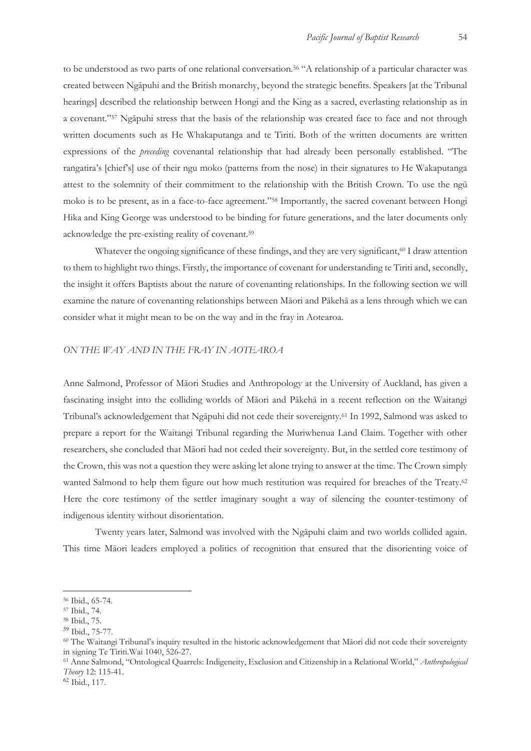to be understood as two parts of one relational conversation.56 "A relationship of a particular character was created between Ngāpuhi and the British monarchy, beyond the strategic benefits. Speakers [at the Tribunal hearings] described the relationship between Hongi and the King as a sacred, everlasting relationship as in a covenant."57 Ngāpuhi stress that the basis of the relationship was created face to face and not through written documents such as He Whakaputanga and te Tiriti. Both of the written documents are written expressions of the *preceding* covenantal relationship that had already been personally established. "The rangatira's [chief's] use of their ngu moko (patterns from the nose) in their signatures to He Wakaputanga attest to the solemnity of their commitment to the relationship with the British Crown. To use the ngū moko is to be present, as in a face-to-face agreement."58 Importantly, the sacred covenant between Hongi Hika and King George was understood to be binding for future generations, and the later documents only acknowledge the pre-existing reality of covenant.59

Whatever the ongoing significance of these findings, and they are very significant,<sup>60</sup> I draw attention to them to highlight two things. Firstly, the importance of covenant for understanding te Tiriti and, secondly, the insight it offers Baptists about the nature of covenanting relationships. In the following section we will examine the nature of covenanting relationships between Māori and Pākehā as a lens through which we can consider what it might mean to be on the way and in the fray in Aotearoa.

### *ON THE WAY AND IN THE FRAY IN AOTEAROA*

Anne Salmond, Professor of Māori Studies and Anthropology at the University of Auckland, has given a fascinating insight into the colliding worlds of Māori and Pākehā in a recent reflection on the Waitangi Tribunal's acknowledgement that Ngāpuhi did not cede their sovereignty.61 In 1992, Salmond was asked to prepare a report for the Waitangi Tribunal regarding the Muriwhenua Land Claim. Together with other researchers, she concluded that Māori had not ceded their sovereignty. But, in the settled core testimony of the Crown, this was not a question they were asking let alone trying to answer at the time. The Crown simply wanted Salmond to help them figure out how much restitution was required for breaches of the Treaty.<sup>62</sup> Here the core testimony of the settler imaginary sought a way of silencing the counter-testimony of indigenous identity without disorientation.

Twenty years later, Salmond was involved with the Ngāpuhi claim and two worlds collided again. This time Māori leaders employed a politics of recognition that ensured that the disorienting voice of

-

<sup>62</sup> Ibid., 117.

<sup>56</sup> Ibid., 65-74.

<sup>57</sup> Ibid., 74.

<sup>58</sup> Ibid., 75.

<sup>&</sup>lt;sup>59</sup> Ibid., 75-77.<br><sup>60</sup> The Waitangi Tribunal's inquiry resulted in the historic acknowledgement that Māori did not cede their sovereignty in signing Te Tiriti.Wai 1040, 526-27.

<sup>61</sup> Anne Salmond, "Ontological Quarrels: Indigeneity, Exclusion and Citizenship in a Relational World," *Anthropological Theory* 12: 115-41.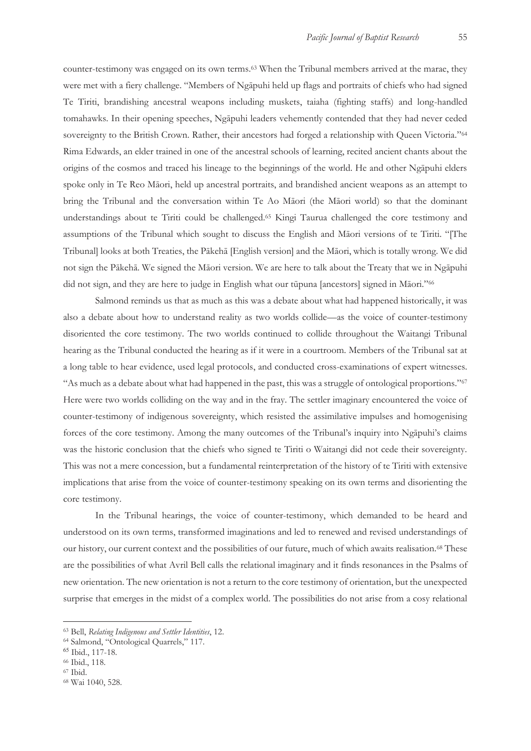counter-testimony was engaged on its own terms.63 When the Tribunal members arrived at the marae, they were met with a fiery challenge. "Members of Ngāpuhi held up flags and portraits of chiefs who had signed Te Tiriti, brandishing ancestral weapons including muskets, taiaha (fighting staffs) and long-handled tomahawks. In their opening speeches, Ngāpuhi leaders vehemently contended that they had never ceded sovereignty to the British Crown. Rather, their ancestors had forged a relationship with Queen Victoria."<sup>64</sup> Rima Edwards, an elder trained in one of the ancestral schools of learning, recited ancient chants about the origins of the cosmos and traced his lineage to the beginnings of the world. He and other Ngāpuhi elders spoke only in Te Reo Māori, held up ancestral portraits, and brandished ancient weapons as an attempt to bring the Tribunal and the conversation within Te Ao Māori (the Māori world) so that the dominant understandings about te Tiriti could be challenged.65 Kingi Taurua challenged the core testimony and assumptions of the Tribunal which sought to discuss the English and Māori versions of te Tiriti. "[The Tribunal] looks at both Treaties, the Pākehā [English version] and the Māori, which is totally wrong. We did not sign the Pākehā. We signed the Māori version. We are here to talk about the Treaty that we in Ngāpuhi did not sign, and they are here to judge in English what our tūpuna [ancestors] signed in Māori."66

Salmond reminds us that as much as this was a debate about what had happened historically, it was also a debate about how to understand reality as two worlds collide—as the voice of counter-testimony disoriented the core testimony. The two worlds continued to collide throughout the Waitangi Tribunal hearing as the Tribunal conducted the hearing as if it were in a courtroom. Members of the Tribunal sat at a long table to hear evidence, used legal protocols, and conducted cross-examinations of expert witnesses. "As much as a debate about what had happened in the past, this was a struggle of ontological proportions."67 Here were two worlds colliding on the way and in the fray. The settler imaginary encountered the voice of counter-testimony of indigenous sovereignty, which resisted the assimilative impulses and homogenising forces of the core testimony. Among the many outcomes of the Tribunal's inquiry into Ngāpuhi's claims was the historic conclusion that the chiefs who signed te Tiriti o Waitangi did not cede their sovereignty. This was not a mere concession, but a fundamental reinterpretation of the history of te Tiriti with extensive implications that arise from the voice of counter-testimony speaking on its own terms and disorienting the core testimony.

In the Tribunal hearings, the voice of counter-testimony, which demanded to be heard and understood on its own terms, transformed imaginations and led to renewed and revised understandings of our history, our current context and the possibilities of our future, much of which awaits realisation.68 These are the possibilities of what Avril Bell calls the relational imaginary and it finds resonances in the Psalms of new orientation. The new orientation is not a return to the core testimony of orientation, but the unexpected surprise that emerges in the midst of a complex world. The possibilities do not arise from a cosy relational

<sup>63</sup> Bell, *Relating Indigenous and Settler Identities*, 12. 64 Salmond, "Ontological Quarrels," 117.

<sup>65</sup> Ibid., 117-18.

<sup>66</sup> Ibid., 118.

<sup>67</sup> Ibid.

<sup>68</sup> Wai 1040, 528.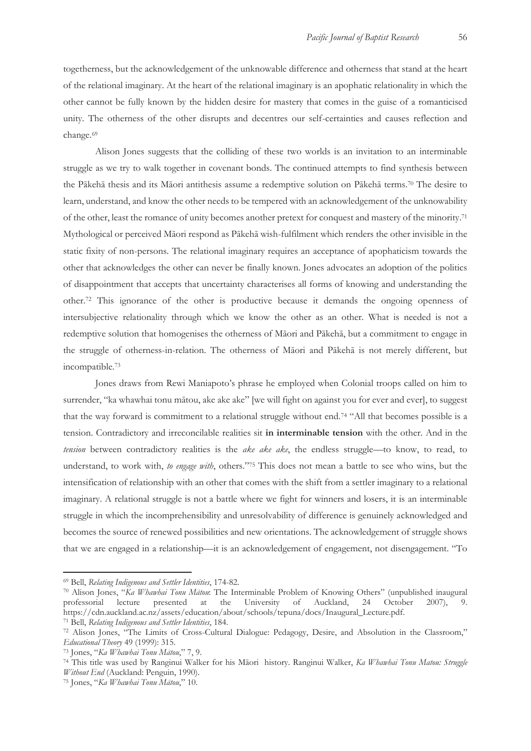togetherness, but the acknowledgement of the unknowable difference and otherness that stand at the heart of the relational imaginary. At the heart of the relational imaginary is an apophatic relationality in which the other cannot be fully known by the hidden desire for mastery that comes in the guise of a romanticised unity. The otherness of the other disrupts and decentres our self-certainties and causes reflection and change.69

Alison Jones suggests that the colliding of these two worlds is an invitation to an interminable struggle as we try to walk together in covenant bonds. The continued attempts to find synthesis between the Pākehā thesis and its Māori antithesis assume a redemptive solution on Pākehā terms.70 The desire to learn, understand, and know the other needs to be tempered with an acknowledgement of the unknowability of the other, least the romance of unity becomes another pretext for conquest and mastery of the minority.71 Mythological or perceived Māori respond as Pākehā wish-fulfilment which renders the other invisible in the static fixity of non-persons. The relational imaginary requires an acceptance of apophaticism towards the other that acknowledges the other can never be finally known. Jones advocates an adoption of the politics of disappointment that accepts that uncertainty characterises all forms of knowing and understanding the other.72 This ignorance of the other is productive because it demands the ongoing openness of intersubjective relationality through which we know the other as an other. What is needed is not a redemptive solution that homogenises the otherness of Māori and Pākehā, but a commitment to engage in the struggle of otherness-in-relation. The otherness of Māori and Pākehā is not merely different, but incompatible.73

Jones draws from Rewi Maniapoto's phrase he employed when Colonial troops called on him to surrender, "ka whawhai tonu mātou, ake ake ake" [we will fight on against you for ever and ever], to suggest that the way forward is commitment to a relational struggle without end.74 "All that becomes possible is a tension. Contradictory and irreconcilable realities sit **in interminable tension** with the other. And in the *tension* between contradictory realities is the *ake ake ake*, the endless struggle—to know, to read, to understand, to work with, *to engage with*, others."75 This does not mean a battle to see who wins, but the intensification of relationship with an other that comes with the shift from a settler imaginary to a relational imaginary. A relational struggle is not a battle where we fight for winners and losers, it is an interminable struggle in which the incomprehensibility and unresolvability of difference is genuinely acknowledged and becomes the source of renewed possibilities and new orientations. The acknowledgement of struggle shows that we are engaged in a relationship—it is an acknowledgement of engagement, not disengagement. "To

<sup>69</sup> Bell, *Relating Indigenous and Settler Identities*, 174-82. 70 Alison Jones, "*Ka Whawhai Tonu Mātou*: The Interminable Problem of Knowing Others" (unpublished inaugural professorial lecture presented at the University of Auckland, 24 October 2007), 9. https://cdn.auckland.ac.nz/assets/education/about/schools/tepuna/docs/Inaugural\_Lecture.pdf.<br><sup>71</sup> Bell, Relating Indigenous and Settler Identities, 184.<br><sup>72</sup> Alison Jones, "The Limits of Cross-Cultural Dialogue: Pedagogy,

Educational Theory 49 (1999): 315.<br><sup>73</sup> Jones, "Ka Whawhai Tonu Mātou," 7, 9.<br><sup>74</sup> This title was used by Ranginui Walker for his Māori history. Ranginui Walker, *Ka Whawhai Tonu Matou: Struggle* 

*Without End* (Auckland: Penguin, 1990). 75 Jones, "*Ka Whawhai Tonu Mātou*," 10.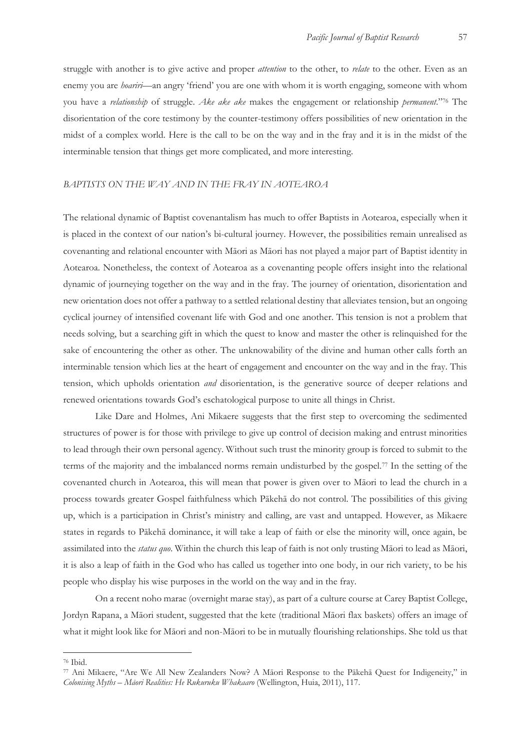struggle with another is to give active and proper *attention* to the other, to *relate* to the other. Even as an enemy you are *hoariri*—an angry 'friend' you are one with whom it is worth engaging, someone with whom you have a *relationship* of struggle. *Ake ake ake* makes the engagement or relationship *permanent*."76 The disorientation of the core testimony by the counter-testimony offers possibilities of new orientation in the midst of a complex world. Here is the call to be on the way and in the fray and it is in the midst of the interminable tension that things get more complicated, and more interesting.

#### *BAPTISTS ON THE WAY AND IN THE FRAY IN AOTEAROA*

The relational dynamic of Baptist covenantalism has much to offer Baptists in Aotearoa, especially when it is placed in the context of our nation's bi-cultural journey. However, the possibilities remain unrealised as covenanting and relational encounter with Māori as Māori has not played a major part of Baptist identity in Aotearoa. Nonetheless, the context of Aotearoa as a covenanting people offers insight into the relational dynamic of journeying together on the way and in the fray. The journey of orientation, disorientation and new orientation does not offer a pathway to a settled relational destiny that alleviates tension, but an ongoing cyclical journey of intensified covenant life with God and one another. This tension is not a problem that needs solving, but a searching gift in which the quest to know and master the other is relinquished for the sake of encountering the other as other. The unknowability of the divine and human other calls forth an interminable tension which lies at the heart of engagement and encounter on the way and in the fray. This tension, which upholds orientation *and* disorientation, is the generative source of deeper relations and renewed orientations towards God's eschatological purpose to unite all things in Christ.

Like Dare and Holmes, Ani Mikaere suggests that the first step to overcoming the sedimented structures of power is for those with privilege to give up control of decision making and entrust minorities to lead through their own personal agency. Without such trust the minority group is forced to submit to the terms of the majority and the imbalanced norms remain undisturbed by the gospel.77 In the setting of the covenanted church in Aotearoa, this will mean that power is given over to Māori to lead the church in a process towards greater Gospel faithfulness which Pākehā do not control. The possibilities of this giving up, which is a participation in Christ's ministry and calling, are vast and untapped. However, as Mikaere states in regards to Pākehā dominance, it will take a leap of faith or else the minority will, once again, be assimilated into the *status quo*. Within the church this leap of faith is not only trusting Māori to lead as Māori, it is also a leap of faith in the God who has called us together into one body, in our rich variety, to be his people who display his wise purposes in the world on the way and in the fray.

On a recent noho marae (overnight marae stay), as part of a culture course at Carey Baptist College, Jordyn Rapana, a Māori student, suggested that the kete (traditional Māori flax baskets) offers an image of what it might look like for Māori and non-Māori to be in mutually flourishing relationships. She told us that

<sup>76</sup> Ibid.

<sup>77</sup> Ani Mikaere, "Are We All New Zealanders Now? A Māori Response to the Pākehā Quest for Indigeneity," in *Colonising Myths – Māori Realities: He Rukuruku Whakaaro* (Wellington, Huia, 2011), 117.